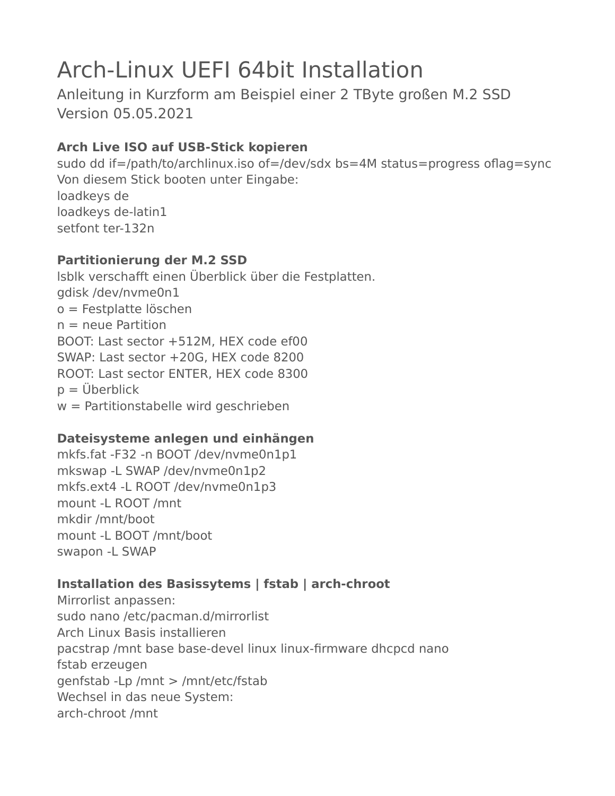# Arch-Linux UEFI 64bit Installation

Anleitung in Kurzform am Beispiel einer 2 TByte großen M.2 SSD Version 05.05.2021

# **Arch Live ISO auf USB-Stick kopieren**

sudo dd if=/path/to/archlinux.iso of=/dev/sdx bs=4M status=progress oflag=sync Von diesem Stick booten unter Eingabe: loadkeys de loadkeys de-latin1 setfont ter-132n

## **Partitionierung der M.2 SSD**

lsblk verschafft einen Überblick über die Festplatten. gdisk /dev/nvme0n1 o = Festplatte löschen  $n =$  neue Partition BOOT: Last sector +512M, HEX code ef00 SWAP: Last sector +20G, HEX code 8200 ROOT: Last sector ENTER, HEX code 8300  $p = \ddot{U}$ berblick  $w =$  Partitionstabelle wird geschrieben

## **Dateisysteme anlegen und einhängen**

mkfs.fat -F32 -n BOOT /dev/nvme0n1p1 mkswap -L SWAP /dev/nvme0n1p2 mkfs.ext4 -L ROOT /dev/nvme0n1p3 mount -L ROOT /mnt mkdir /mnt/boot mount -L BOOT /mnt/boot swapon -L SWAP

## **Installation des Basissytems | fstab | arch-chroot**

Mirrorlist anpassen: sudo nano /etc/pacman.d/mirrorlist Arch Linux Basis installieren pacstrap /mnt base base-devel linux linux-firmware dhcpcd nano fstab erzeugen genfstab -Lp /mnt > /mnt/etc/fstab Wechsel in das neue System: arch-chroot /mnt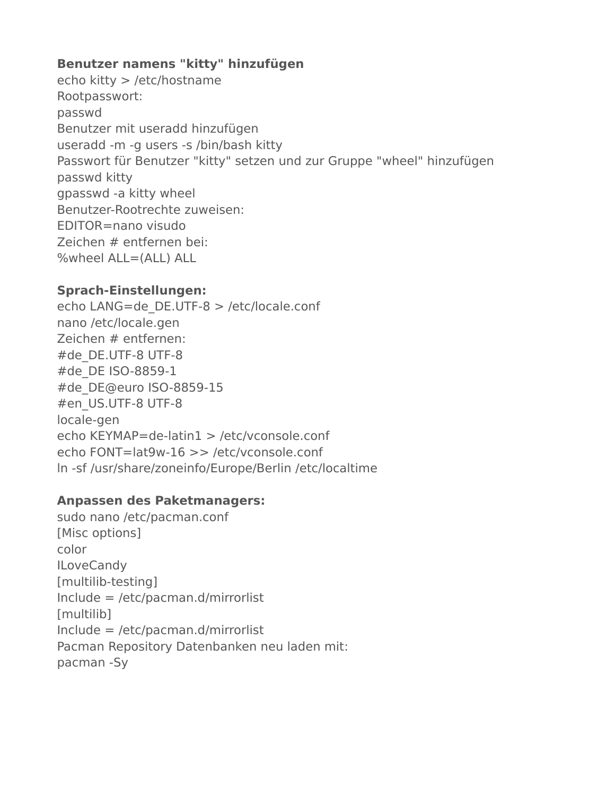### **Benutzer namens "kitty" hinzufügen**

echo kitty > /etc/hostname Rootpasswort: passwd Benutzer mit useradd hinzufügen useradd -m -g users -s /bin/bash kitty Passwort für Benutzer "kitty" setzen und zur Gruppe "wheel" hinzufügen passwd kitty gpasswd -a kitty wheel Benutzer-Rootrechte zuweisen: EDITOR=nano visudo Zeichen # entfernen bei: %wheel ALL=(ALL) ALL

#### **Sprach-Einstellungen:**

echo LANG=de\_DE.UTF-8 > /etc/locale.conf nano /etc/locale.gen Zeichen # entfernen: #de\_DE.UTF-8 UTF-8 #de\_DE ISO-8859-1 #de\_DE@euro ISO-8859-15 #en\_US.UTF-8 UTF-8 locale-gen echo KEYMAP=de-latin1 > /etc/vconsole.conf echo FONT=lat9w-16 >> /etc/vconsole.conf ln -sf /usr/share/zoneinfo/Europe/Berlin /etc/localtime

#### **Anpassen des Paketmanagers:**

sudo nano /etc/pacman.conf [Misc options] color **ILoveCandy** [multilib-testing] Include = /etc/pacman.d/mirrorlist [multilib] Include = /etc/pacman.d/mirrorlist Pacman Repository Datenbanken neu laden mit: pacman -Sy